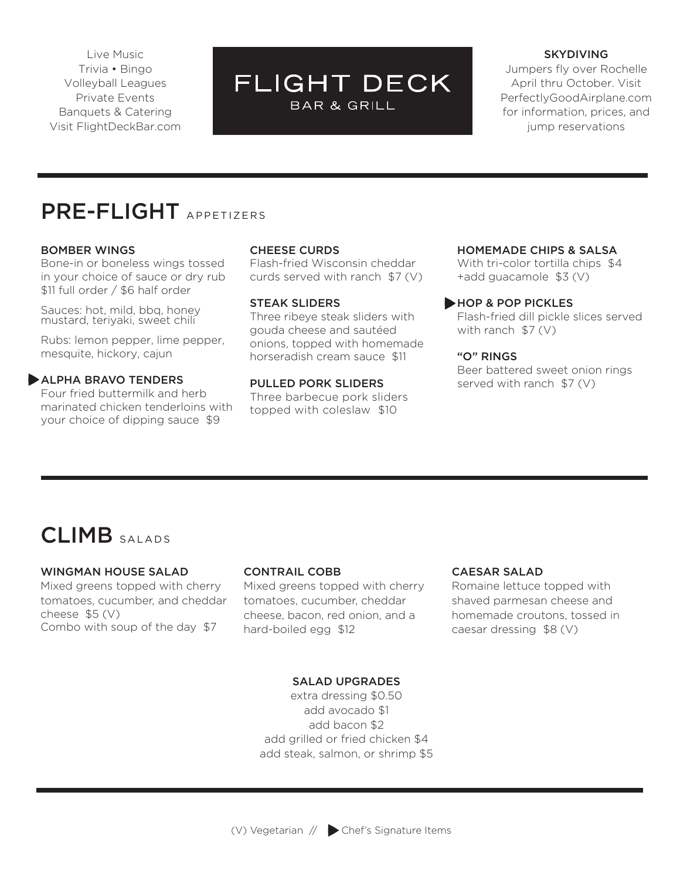Live Music Trivia • Bingo Volleyball Leagues Private Events Banquets & Catering Visit FlightDeckBar.com

# **FLIGHT DECK BAR & GRILL**

#### SKYDIVING

Jumpers fly over Rochelle April thru October. Visit PerfectlyGoodAirplane.com for information, prices, and jump reservations

# PRE-FLIGHT APPETIZERS

# BOMBER WINGS

Bone-in or boneless wings tossed in your choice of sauce or dry rub \$11 full order / \$6 half order

Sauces: hot, mild, bbq, honey mustard, teriyaki, sweet chili

Rubs: lemon pepper, lime pepper, mesquite, hickory, cajun

# **ALPHA BRAVO TENDERS**

Four fried buttermilk and herb marinated chicken tenderloins with your choice of dipping sauce \$9

# CHEESE CURDS

Flash-fried Wisconsin cheddar curds served with ranch \$7 (V)

#### STEAK SLIDERS

Three ribeye steak sliders with gouda cheese and sautéed onions, topped with homemade horseradish cream sauce \$11

# PULLED PORK SLIDERS Three barbecue pork sliders topped with coleslaw \$10

# HOMEMADE CHIPS & SALSA

With tri-color tortilla chips \$4 +add guacamole \$3 (V)

#### HOP & POP PICKLES

Flash-fried dill pickle slices served with ranch \$7 (V)

#### "O" RINGS

Beer battered sweet onion rings served with ranch \$7 (V)

# CLIMB SALADS

# WINGMAN HOUSE SALAD

Mixed greens topped with cherry tomatoes, cucumber, and cheddar cheese \$5 (V) Combo with soup of the day \$7

# CONTRAIL COBB

Mixed greens topped with cherry tomatoes, cucumber, cheddar cheese, bacon, red onion, and a hard-boiled egg \$12

#### CAESAR SALAD

Romaine lettuce topped with shaved parmesan cheese and homemade croutons, tossed in caesar dressing \$8 (V)

# SALAD UPGRADES

extra dressing \$0.50 add avocado \$1 add bacon \$2 add grilled or fried chicken \$4 add steak, salmon, or shrimp \$5